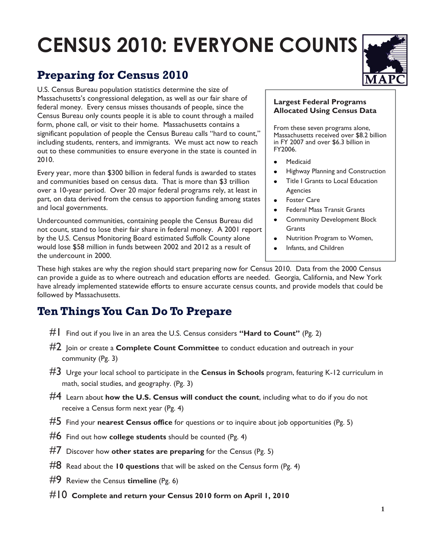# **CENSUS 2010: EVERYONE COUNTS**

# **Preparing for Census 2010**

U.S. Census Bureau population statistics determine the size of Massachusetts's congressional delegation, as well as our fair share of federal money. Every census misses thousands of people, since the Census Bureau only counts people it is able to count through a mailed form, phone call, or visit to their home. Massachusetts contains a significant population of people the Census Bureau calls "hard to count," including students, renters, and immigrants. We must act now to reach out to these communities to ensure everyone in the state is counted in 2010.

Every year, more than \$300 billion in federal funds is awarded to states and communities based on census data. That is more than \$3 trillion over a 10-year period. Over 20 major federal programs rely, at least in part, on data derived from the census to apportion funding among states and local governments.

Undercounted communities, containing people the Census Bureau did not count, stand to lose their fair share in federal money. A 2001 report by the U.S. Census Monitoring Board estimated Suffolk County alone would lose \$58 million in funds between 2002 and 2012 as a result of the undercount in 2000.

#### **Largest Federal Programs Allocated Using Census Data**

From these seven programs alone, Massachusetts received over \$8.2 billion in FY 2007 and over \$6.3 billion in FY2006.

- Medicaid
- $\bullet$ Highway Planning and Construction
- Title I Grants to Local Education Agencies
- Foster Care
- Federal Mass Transit Grants
- Community Development Block **Grants**
- Nutrition Program to Women,
- Infants, and Children

These high stakes are why the region should start preparing now for Census 2010. Data from the 2000 Census can provide a guide as to where outreach and education efforts are needed. Georgia, California, and New York have already implemented statewide efforts to ensure accurate census counts, and provide models that could be followed by Massachusetts.

## **Ten Things You Can Do To Prepare**

- #1 Find out if you live in an area the U.S. Census considers **"Hard to Count"** (Pg. 2)
- #2 Join or create a **Complete Count Committee** to conduct education and outreach in your community (Pg. 3)
- #3 Urge your local school to participate in the **Census in Schools** program, featuring K-12 curriculum in math, social studies, and geography. (Pg. 3)
- #4 Learn about **how the U.S. Census will conduct the count**, including what to do if you do not receive a Census form next year (Pg. 4)
- #5 Find your **nearest Census office** for questions or to inquire about job opportunities (Pg. 5)
- #6 Find out how **college students** should be counted (Pg. 4)
- #7 Discover how **other states are preparing** for the Census (Pg. 5)
- #8 Read about the **10 questions** that will be asked on the Census form (Pg. 4)
- #9 Review the Census **timeline** (Pg. 6)
- #10 **Complete and return your Census 2010 form on April 1, 2010**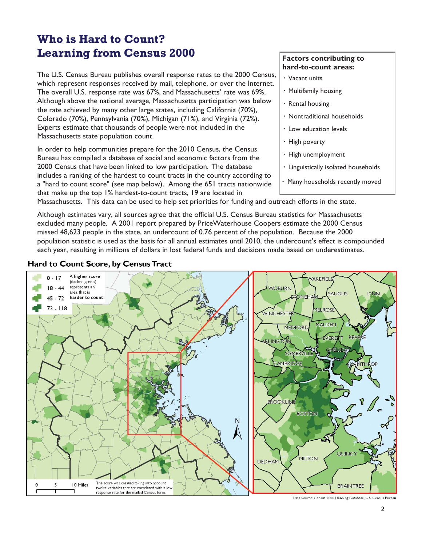## **Who is Hard to Count? Learning from Census 2000**

The U.S. Census Bureau publishes overall response rates to the 2000 Census, which represent responses received by mail, telephone, or over the Internet. The overall U.S. response rate was 67%, and Massachusetts' rate was 69%. Although above the national average, Massachusetts participation was below the rate achieved by many other large states, including California (70%), Colorado (70%), Pennsylvania (70%), Michigan (71%), and Virginia (72%). Experts estimate that thousands of people were not included in the Massachusetts state population count.

In order to help communities prepare for the 2010 Census, the Census Bureau has compiled a database of social and economic factors from the 2000 Census that have been linked to low participation. The database includes a ranking of the hardest to count tracts in the country according to a "hard to count score" (see map below). Among the 651 tracts nationwide that make up the top 1% hardest-to-count tracts, 19 are located in

#### **Factors contributing to hard-to-count areas:**

- **·** Vacant units
- **·** Multifamily housing
- **·** Rental housing
- **·** Nontraditional households
- **·** Low education levels
- **·** High poverty
- **·** High unemployment
- **·** Linguistically isolated households
- Many households recently moved

Massachusetts. This data can be used to help set priorities for funding and outreach efforts in the state.

Although estimates vary, all sources agree that the official U.S. Census Bureau statistics for Massachusetts excluded many people. A 2001 report prepared by PriceWaterhouse Coopers estimate the 2000 Census missed 48,623 people in the state, an undercount of 0.76 percent of the population. Because the 2000 population statistic is used as the basis for all annual estimates until 2010, the undercount's effect is compounded each year, resulting in millions of dollars in lost federal funds and decisions made based on underestimates.

#### Hard to Count Score, by Census Tract



Data Source: Census 2000 Planning Database, U.S. Census Bureau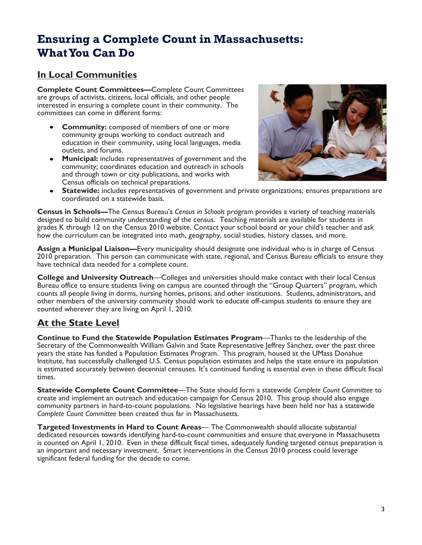## **Ensuring a Complete Count in Massachusetts: What You Can Do**

#### **In Local Communities**

**Complete Count Committees—**Complete Count Committees are groups of activists, citizens, local officials, and other people interested in ensuring a complete count in their community. The committees can come in different forms:

- **Community:** composed of members of one or more community groups working to conduct outreach and education in their community, using local languages, media outlets, and forums.
- **Municipal:** includes representatives of government and the community; coordinates education and outreach in schools and through town or city publications, and works with Census officials on technical preparations.



**Statewide:** includes representatives of government and private organizations; ensures preparations are coordinated on a statewide basis.

**Census in Schools—**The Census Bureau's *Census in Schools* program provides a variety of teaching materials designed to build community understanding of the census. Teaching materials are available for students in grades K through 12 on the Census 2010 website. Contact your school board or your child's teacher and ask how the curriculum can be integrated into math, geography, social studies, history classes, and more.

**Assign a Municipal Liaison—**Every municipality should designate one individual who is in charge of Census 2010 preparation. This person can communicate with state, regional, and Census Bureau officials to ensure they have technical data needed for a complete count.

**College and University Outreach**—Colleges and universities should make contact with their local Census Bureau office to ensure students living on campus are counted through the "Group Quarters" program, which counts all people living in dorms, nursing homes, prisons, and other institutions. Students, administrators, and other members of the university community should work to educate off-campus students to ensure they are counted wherever they are living on April 1, 2010.

#### **At the State Level**

**Continue to Fund the Statewide Population Estimates Program**—Thanks to the leadership of the Secretary of the Commonwealth William Galvin and State Representative Jeffrey Sànchez, over the past three years the state has funded a Population Estimates Program. This program, housed at the UMass Donahue Institute, has successfully challenged U.S. Census population estimates and helps the state ensure its population is estimated accurately between decennial censuses. It's continued funding is essential even in these difficult fiscal times.

**Statewide Complete Count Committee**—The State should form a statewide *Complete Count Committee* to create and implement an outreach and education campaign for Census 2010. This group should also engage community partners in hard-to-count populations. No legislative hearings have been held nor has a statewide *Complete Count Committee* been created thus far in Massachusetts.

**Targeted Investments in Hard to Count Areas**— The Commonwealth should allocate substantial dedicated resources towards identifying hard-to-count communities and ensure that everyone in Massachusetts is counted on April 1, 2010. Even in these difficult fiscal times, adequately funding targeted census preparation is an important and necessary investment. Smart interventions in the Census 2010 process could leverage significant federal funding for the decade to come.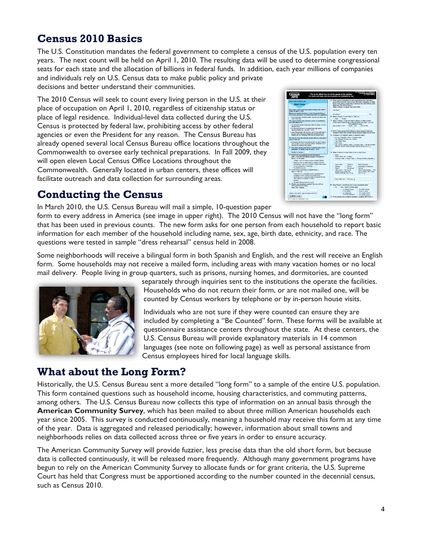## **Census 2010 Basics**

The U.S. Constitution mandates the federal government to complete a census of the U.S. population every ten years. The next count will be held on April 1, 2010. The resulting data will be used to determine congressional seats for each state and the allocation of billions in federal funds. In addition, each year millions of companies and individuals rely on U.S. Census data to make public policy and private decisions and better understand their communities.

The 2010 Census will seek to count every living person in the U.S. at their place of occupation on April 1, 2010, regardless of citizenship status or place of legal residence. Individual-level data collected during the U.S. Census is protected by federal law, prohibiting access by other federal agencies or even the President for any reason. The Census Bureau has already opened several local Census Bureau office locations throughout the Commonwealth to oversee early technical preparations. In Fall 2009, they will open eleven Local Census Office Locations throughout the Commonwealth. Generally located in urban centers, these offices will facilitate outreach and data collection for surrounding areas.

| Use a blue or black pen.<br><b>Start here</b><br>The Census must count every person living in the United<br>States on April 1, 2010.<br>Bafore you answer Question 1, count the people living in<br>this house, spartreent, or mobile home using our suidelines.<br>. Count all people, including babies, who live and sleep here<br>nost of the time.<br>The Census Bureau also conducts counts in institutions<br>and other places, so:<br>. Do not count sevene living away either at college or in the<br><b>Armed Forces</b><br>· Do not count anyone in a nutsing home, jail, prison,<br>detention facility, elc., on April 1, 2010.<br>. Leave these people off your form, even if they will return to<br>Ivo hara after they large college. The naming hams, the<br>milkey, jal. alc. Otherwise, they may be courted twice.<br>The Census must also include people without a permanent<br>place to stay, so:<br>. If sempore who has no corresport place to stay is staying | person living here who owns or rents this house, apartment, or mobile<br>home. If the certer or renter lives somewhere else, start with any adult<br>Exing here. This will be Person 1.<br>What is Person 1's name? Fred name being<br>Louis Norman<br><b>Fixed Magnes</b><br>6. What is Person 1's sex? Mark X ONE hor.<br>Mode<br>Female<br>7. What is Person 1's nos and what is Person 1's date of birth?<br>Please report babies as age 0 when the child is less than 1 year old.<br>Print numbers in bases.<br>Apr on April 1, 2010<br>Month Day<br>Year of birth<br>- NOTE: Please answer BOTH Question 8 about Hispanic origin and<br>Question 9 about race, For this census, Hispanic origins are not races.<br>8. Is Person 1 of Hapanic, Latino, or Spanish origin? |
|-------------------------------------------------------------------------------------------------------------------------------------------------------------------------------------------------------------------------------------------------------------------------------------------------------------------------------------------------------------------------------------------------------------------------------------------------------------------------------------------------------------------------------------------------------------------------------------------------------------------------------------------------------------------------------------------------------------------------------------------------------------------------------------------------------------------------------------------------------------------------------------------------------------------------------------------------------------------------------------|--------------------------------------------------------------------------------------------------------------------------------------------------------------------------------------------------------------------------------------------------------------------------------------------------------------------------------------------------------------------------------------------------------------------------------------------------------------------------------------------------------------------------------------------------------------------------------------------------------------------------------------------------------------------------------------------------------------------------------------------------------------------------------|
|                                                                                                                                                                                                                                                                                                                                                                                                                                                                                                                                                                                                                                                                                                                                                                                                                                                                                                                                                                                     |                                                                                                                                                                                                                                                                                                                                                                                                                                                                                                                                                                                                                                                                                                                                                                                |
|                                                                                                                                                                                                                                                                                                                                                                                                                                                                                                                                                                                                                                                                                                                                                                                                                                                                                                                                                                                     |                                                                                                                                                                                                                                                                                                                                                                                                                                                                                                                                                                                                                                                                                                                                                                                |
|                                                                                                                                                                                                                                                                                                                                                                                                                                                                                                                                                                                                                                                                                                                                                                                                                                                                                                                                                                                     |                                                                                                                                                                                                                                                                                                                                                                                                                                                                                                                                                                                                                                                                                                                                                                                |
|                                                                                                                                                                                                                                                                                                                                                                                                                                                                                                                                                                                                                                                                                                                                                                                                                                                                                                                                                                                     |                                                                                                                                                                                                                                                                                                                                                                                                                                                                                                                                                                                                                                                                                                                                                                                |
|                                                                                                                                                                                                                                                                                                                                                                                                                                                                                                                                                                                                                                                                                                                                                                                                                                                                                                                                                                                     |                                                                                                                                                                                                                                                                                                                                                                                                                                                                                                                                                                                                                                                                                                                                                                                |
|                                                                                                                                                                                                                                                                                                                                                                                                                                                                                                                                                                                                                                                                                                                                                                                                                                                                                                                                                                                     |                                                                                                                                                                                                                                                                                                                                                                                                                                                                                                                                                                                                                                                                                                                                                                                |
|                                                                                                                                                                                                                                                                                                                                                                                                                                                                                                                                                                                                                                                                                                                                                                                                                                                                                                                                                                                     |                                                                                                                                                                                                                                                                                                                                                                                                                                                                                                                                                                                                                                                                                                                                                                                |
|                                                                                                                                                                                                                                                                                                                                                                                                                                                                                                                                                                                                                                                                                                                                                                                                                                                                                                                                                                                     |                                                                                                                                                                                                                                                                                                                                                                                                                                                                                                                                                                                                                                                                                                                                                                                |
|                                                                                                                                                                                                                                                                                                                                                                                                                                                                                                                                                                                                                                                                                                                                                                                                                                                                                                                                                                                     |                                                                                                                                                                                                                                                                                                                                                                                                                                                                                                                                                                                                                                                                                                                                                                                |
|                                                                                                                                                                                                                                                                                                                                                                                                                                                                                                                                                                                                                                                                                                                                                                                                                                                                                                                                                                                     | No, not of Hispanic, Latino, or Spanish origin                                                                                                                                                                                                                                                                                                                                                                                                                                                                                                                                                                                                                                                                                                                                 |
|                                                                                                                                                                                                                                                                                                                                                                                                                                                                                                                                                                                                                                                                                                                                                                                                                                                                                                                                                                                     | Yes, Mexican, Mexican Am., Chicano-<br>Yan, Paints River.                                                                                                                                                                                                                                                                                                                                                                                                                                                                                                                                                                                                                                                                                                                      |
| here on April 1, 2010, count that person. Otherwise, he or<br>she may be missed in the conses.                                                                                                                                                                                                                                                                                                                                                                                                                                                                                                                                                                                                                                                                                                                                                                                                                                                                                      | Yas, Outen<br>Yes, another Hispanic, Latino, or Spenish origin - Patragk, Irvangle,                                                                                                                                                                                                                                                                                                                                                                                                                                                                                                                                                                                                                                                                                            |
| 1. How many people were living or staying in this house,<br>spartment, or mobile home on April 1, 2010?                                                                                                                                                                                                                                                                                                                                                                                                                                                                                                                                                                                                                                                                                                                                                                                                                                                                             | April Han Colonian Davidor, Norscon, Salestine, Spelled, entro in. 21                                                                                                                                                                                                                                                                                                                                                                                                                                                                                                                                                                                                                                                                                                          |
| Narebor of people =                                                                                                                                                                                                                                                                                                                                                                                                                                                                                                                                                                                                                                                                                                                                                                                                                                                                                                                                                                 | 9. What is Person 1's race? Mark J one or more boxes.                                                                                                                                                                                                                                                                                                                                                                                                                                                                                                                                                                                                                                                                                                                          |
| 2. Ware there any additional people staying here<br>April 1, 2010 that you did not include in Question 17.                                                                                                                                                                                                                                                                                                                                                                                                                                                                                                                                                                                                                                                                                                                                                                                                                                                                          | <b>White</b><br>Black, Ahkan Am, or Negro                                                                                                                                                                                                                                                                                                                                                                                                                                                                                                                                                                                                                                                                                                                                      |
| Mark J all that apple                                                                                                                                                                                                                                                                                                                                                                                                                                                                                                                                                                                                                                                                                                                                                                                                                                                                                                                                                               | American Indian or Alesia Native - Primare of emiletin photoshike 21                                                                                                                                                                                                                                                                                                                                                                                                                                                                                                                                                                                                                                                                                                           |
| Children, auch as newborn bebies or foreir children<br>Futurious, such as adult children, cousing, or in-loop                                                                                                                                                                                                                                                                                                                                                                                                                                                                                                                                                                                                                                                                                                                                                                                                                                                                       |                                                                                                                                                                                                                                                                                                                                                                                                                                                                                                                                                                                                                                                                                                                                                                                |
| Nonviatives, such as recommites or live-in baby sitters                                                                                                                                                                                                                                                                                                                                                                                                                                                                                                                                                                                                                                                                                                                                                                                                                                                                                                                             | Asian Indian<br>Japanese<br>Native Hassaker                                                                                                                                                                                                                                                                                                                                                                                                                                                                                                                                                                                                                                                                                                                                    |
| People staying here temporarily<br>No additional people                                                                                                                                                                                                                                                                                                                                                                                                                                                                                                                                                                                                                                                                                                                                                                                                                                                                                                                             | Chinasa<br>Krysen<br><b>Guaranten or Champers</b><br><b>Filipino</b><br>Vietnamese<br>Sornoan                                                                                                                                                                                                                                                                                                                                                                                                                                                                                                                                                                                                                                                                                  |
| 3. Is this house, apartment, or mobile horse --<br>Mark X CAIF hex                                                                                                                                                                                                                                                                                                                                                                                                                                                                                                                                                                                                                                                                                                                                                                                                                                                                                                                  | Other Asian - First race, for<br>Other Pacific Islander - Por<br>example. Almong. Lacities. That.<br>sus, for exergels. Filters, Tompes,                                                                                                                                                                                                                                                                                                                                                                                                                                                                                                                                                                                                                                       |
| Owned by you or nomeone in this household with a<br>motopop or loan? include home aquity isans.                                                                                                                                                                                                                                                                                                                                                                                                                                                                                                                                                                                                                                                                                                                                                                                                                                                                                     | Patient, Gerebuskes, and so on. 21<br>and so on a                                                                                                                                                                                                                                                                                                                                                                                                                                                                                                                                                                                                                                                                                                                              |
| Owned by you or someone in this household free and<br>clear (without a mortgage or loani?)<br>Permet?                                                                                                                                                                                                                                                                                                                                                                                                                                                                                                                                                                                                                                                                                                                                                                                                                                                                               | Some other mos - Print mos. 25                                                                                                                                                                                                                                                                                                                                                                                                                                                                                                                                                                                                                                                                                                                                                 |
| Occupied without payment of rent?                                                                                                                                                                                                                                                                                                                                                                                                                                                                                                                                                                                                                                                                                                                                                                                                                                                                                                                                                   |                                                                                                                                                                                                                                                                                                                                                                                                                                                                                                                                                                                                                                                                                                                                                                                |
| 4. What is your telephone rearder? He may call if no<br>Newton on hostersheet foods                                                                                                                                                                                                                                                                                                                                                                                                                                                                                                                                                                                                                                                                                                                                                                                                                                                                                                 | 10. Does Person 1 sometimes live or stay somewhere else?                                                                                                                                                                                                                                                                                                                                                                                                                                                                                                                                                                                                                                                                                                                       |
| Assn Code + Number                                                                                                                                                                                                                                                                                                                                                                                                                                                                                                                                                                                                                                                                                                                                                                                                                                                                                                                                                                  | No Yes - Mark X all that apple<br>In college housing<br>For child oustody                                                                                                                                                                                                                                                                                                                                                                                                                                                                                                                                                                                                                                                                                                      |
| CMB No. 0607-0819-C; Approval Eagless 12/21/2011.                                                                                                                                                                                                                                                                                                                                                                                                                                                                                                                                                                                                                                                                                                                                                                                                                                                                                                                                   | in the railbary<br>In jail or prison<br>At a seasonal<br>In a numing home                                                                                                                                                                                                                                                                                                                                                                                                                                                                                                                                                                                                                                                                                                      |
| numB-61 is in one.                                                                                                                                                                                                                                                                                                                                                                                                                                                                                                                                                                                                                                                                                                                                                                                                                                                                                                                                                                  | or served residence.<br>For enother research<br>If more people were counted in Question 1, continue with Person 2.                                                                                                                                                                                                                                                                                                                                                                                                                                                                                                                                                                                                                                                             |

## **Conducting the Census**

In March 2010, the U.S. Census Bureau will mail a simple, 10-question paper form to every address in America (see image in upper right). The 2010 Census will not have the "long form" that has been used in previous counts. The new form asks for one person from each household to report basic information for each member of the household including name, sex, age, birth date, ethnicity, and race. The

questions were tested in sample "dress rehearsal" census held in 2008.

Some neighborhoods will receive a bilingual form in both Spanish and English, and the rest will receive an English form. Some households may not receive a mailed form, including areas with many vacation homes or no local mail delivery. People living in group quarters, such as prisons, nursing homes, and dormitories, are counted



separately through inquiries sent to the institutions the operate the facilities. Households who do not return their form, or are not mailed one, will be counted by Census workers by telephone or by in-person house visits.

Individuals who are not sure if they were counted can ensure they are included by completing a "Be Counted" form. These forms will be available at questionnaire assistance centers throughout the state. At these centers, the U.S. Census Bureau will provide explanatory materials in 14 common languages (see note on following page) as well as personal assistance from Census employees hired for local language skills.

#### **What about the Long Form?**

Historically, the U.S. Census Bureau sent a more detailed "long form" to a sample of the entire U.S. population. This form contained questions such as household income, housing characteristics, and commuting patterns, among others. The U.S. Census Bureau now collects this type of information on an annual basis through the **American Community Survey**, which has been mailed to about three million American households each year since 2005. This survey is conducted continuously, meaning a household may receive this form at any time of the year. Data is aggregated and released periodically; however, information about small towns and neighborhoods relies on data collected across three or five years in order to ensure accuracy.

The American Community Survey will provide fuzzier, less precise data than the old short form, but because data is collected continuously, it will be released more frequently. Although many government programs have begun to rely on the American Community Survey to allocate funds or for grant criteria, the U.S. Supreme Court has held that Congress must be apportioned according to the number counted in the decennial census, such as Census 2010.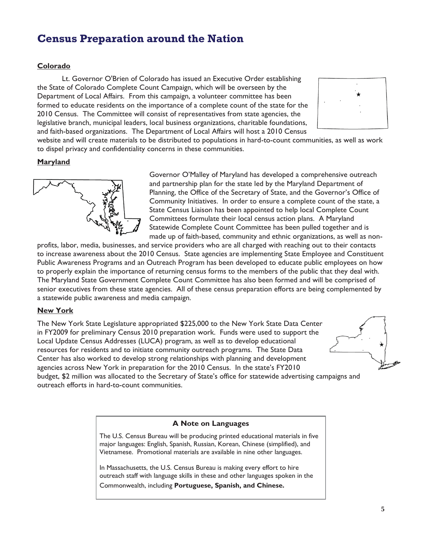## **Census Preparation around the Nation**

#### **Colorado**

Lt. Governor O'Brien of Colorado has issued an Executive Order establishing the State of Colorado Complete Count Campaign, which will be overseen by the Department of Local Affairs. From this campaign, a volunteer committee has been formed to educate residents on the importance of a complete count of the state for the 2010 Census. The Committee will consist of representatives from state agencies, the legislative branch, municipal leaders, local business organizations, charitable foundations, and faith-based organizations. The Department of Local Affairs will host a 2010 Census



website and will create materials to be distributed to populations in hard-to-count communities, as well as work to dispel privacy and confidentiality concerns in these communities.

#### **Maryland**



Governor O'Malley of Maryland has developed a comprehensive outreach and partnership plan for the state led by the Maryland Department of Planning, the Office of the Secretary of State, and the Governor's Office of Community Initiatives. In order to ensure a complete count of the state, a State Census Liaison has been appointed to help local Complete Count Committees formulate their local census action plans. A Maryland Statewide Complete Count Committee has been pulled together and is made up of faith-based, community and ethnic organizations, as well as non-

profits, labor, media, businesses, and service providers who are all charged with reaching out to their contacts to increase awareness about the 2010 Census. State agencies are implementing State Employee and Constituent Public Awareness Programs and an Outreach Program has been developed to educate public employees on how to properly explain the importance of returning census forms to the members of the public that they deal with. The Maryland State Government Complete Count Committee has also been formed and will be comprised of senior executives from these state agencies. All of these census preparation efforts are being complemented by a statewide public awareness and media campaign.

#### **New York**

The New York State Legislature appropriated \$225,000 to the New York State Data Center in FY2009 for preliminary Census 2010 preparation work. Funds were used to support the Local Update Census Addresses (LUCA) program, as well as to develop educational resources for residents and to initiate community outreach programs. The State Data Center has also worked to develop strong relationships with planning and development agencies across New York in preparation for the 2010 Census. In the state's FY2010 budget, \$2 million was allocated to the Secretary of State's office for statewide advertising campaigns and outreach efforts in hard-to-count communities.



#### **A Note on Languages**

The U.S. Census Bureau will be producing printed educational materials in five major languages: English, Spanish, Russian, Korean, Chinese (simplified), and Vietnamese. Promotional materials are available in nine other languages.

In Massachusetts, the U.S. Census Bureau is making every effort to hire outreach staff with language skills in these and other languages spoken in the

Commonwealth, including **Portuguese, Spanish, and Chinese.**